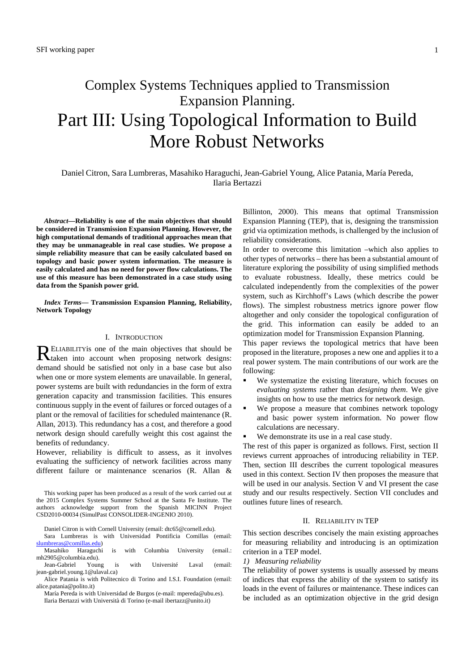# Complex Systems Techniques applied to Transmission Expansion Planning. Part III: Using Topological Information to Build More Robust Networks

Daniel Citron, Sara Lumbreras, Masahiko Haraguchi, Jean-Gabriel Young, Alice Patania, María Pereda, Ilaria Bertazzi

*Abstract***—Reliability is one of the main objectives that should be considered in Transmission Expansion Planning. However, the high computational demands of traditional approaches mean that they may be unmanageable in real case studies. We propose a simple reliability measure that can be easily calculated based on topology and basic power system information. The measure is easily calculated and has no need for power flow calculations. The use of this measure has been demonstrated in a case study using data from the Spanish power grid.** 

## *Index Terms***— Transmission Expansion Planning, Reliability, Network Topology**

## I. INTRODUCTION

ELIABILITYis one of the main objectives that should be RELIABILITY is one of the main objectives that should be taken into account when proposing network designs: demand should be satisfied not only in a base case but also when one or more system elements are unavailable. In general, power systems are built with redundancies in the form of extra generation capacity and transmission facilities. This ensures continuous supply in the event of failures or forced outages of a plant or the removal of facilities for scheduled maintenance (R. Allan, 2013). This redundancy has a cost, and therefore a good network design should carefully weight this cost against the benefits of redundancy.

However, reliability is difficult to assess, as it involves evaluating the sufficiency of network facilities across many different failure or maintenance scenarios (R. Allan &

This working paper has been produced as a result of the work carried out at the 2015 Complex Systems Summer School at the Santa Fe Institute. The authors acknowledge support from the Spanish MICINN Project CSD2010-00034 (SimulPast CONSOLIDER-INGENIO 2010).

Daniel Citron is with Cornell University (email: dtc65@cornell.edu).

Sara Lumbreras is with Universidad Pontificia Comillas (email: slumbreras@comillas.edu)

Masahiko Haraguchi is with Columbia University (email.: mh2905@columbia.edu).

Jean-Gabriel Young is with Université Laval (email: jean-gabriel.young.1@ulaval.ca)

Alice Patania is with Politecnico di Torino and I.S.I. Foundation (email: alice.patania@polito.it)

María Pereda is with Universidad de Burgos (e-mail: mpereda@ubu.es). Ilaria Bertazzi with Università di Torino (e-mail ibertazz@unito.it)

Billinton, 2000). This means that optimal Transmission Expansion Planning (TEP), that is, designing the transmission grid via optimization methods, is challenged by the inclusion of reliability considerations.

In order to overcome this limitation –which also applies to other types of networks – there has been a substantial amount of literature exploring the possibility of using simplified methods to evaluate robustness. Ideally, these metrics could be calculated independently from the complexities of the power system, such as Kirchhoff's Laws (which describe the power flows). The simplest robustness metrics ignore power flow altogether and only consider the topological configuration of the grid. This information can easily be added to an optimization model for Transmission Expansion Planning.

This paper reviews the topological metrics that have been proposed in the literature, proposes a new one and applies it to a real power system. The main contributions of our work are the following:

- We systematize the existing literature, which focuses on *evaluating systems* rather than *designing them*. We give insights on how to use the metrics for network design.
- We propose a measure that combines network topology and basic power system information. No power flow calculations are necessary.
- We demonstrate its use in a real case study.

The rest of this paper is organized as follows. First, section II reviews current approaches of introducing reliability in TEP. Then, section III describes the current topological measures used in this context. Section IV then proposes the measure that will be used in our analysis. Section V and VI present the case study and our results respectively. Section VII concludes and outlines future lines of research.

#### II. RELIABILITY IN TEP

This section describes concisely the main existing approaches for measuring reliability and introducing is an optimization criterion in a TEP model.

## *1) Measuring reliability*

The reliability of power systems is usually assessed by means of indices that express the ability of the system to satisfy its loads in the event of failures or maintenance. These indices can be included as an optimization objective in the grid design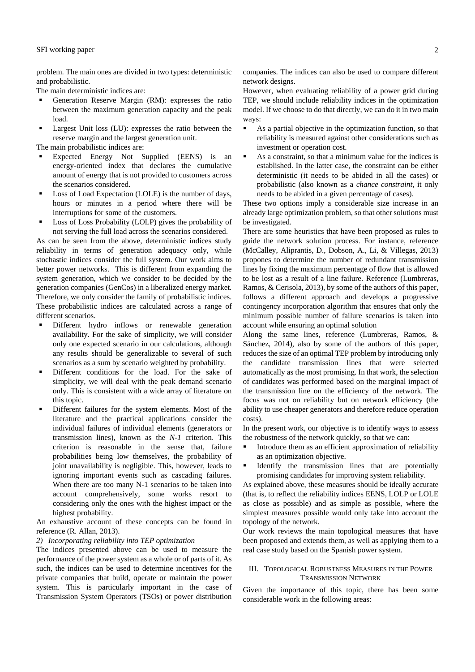problem. The main ones are divided in two types: deterministic and probabilistic.

The main deterministic indices are:

- Generation Reserve Margin (RM): expresses the ratio between the maximum generation capacity and the peak load.
- Largest Unit loss (LU): expresses the ratio between the reserve margin and the largest generation unit.

The main probabilistic indices are:

- Expected Energy Not Supplied (EENS) is an energy-oriented index that declares the cumulative amount of energy that is not provided to customers across the scenarios considered.
- Loss of Load Expectation (LOLE) is the number of days, hours or minutes in a period where there will be interruptions for some of the customers.
- Loss of Loss Probability (LOLP) gives the probability of not serving the full load across the scenarios considered.

As can be seen from the above, deterministic indices study reliability in terms of generation adequacy only, while stochastic indices consider the full system. Our work aims to better power networks. This is different from expanding the system generation, which we consider to be decided by the generation companies (GenCos) in a liberalized energy market. Therefore, we only consider the family of probabilistic indices. These probabilistic indices are calculated across a range of different scenarios.

- Different hydro inflows or renewable generation availability. For the sake of simplicity, we will consider only one expected scenario in our calculations, although any results should be generalizable to several of such scenarios as a sum by scenario weighted by probability.
- Different conditions for the load. For the sake of simplicity, we will deal with the peak demand scenario only. This is consistent with a wide array of literature on this topic.
- Different failures for the system elements. Most of the literature and the practical applications consider the individual failures of individual elements (generators or transmission lines), known as the *N-1* criterion. This criterion is reasonable in the sense that, failure probabilities being low themselves, the probability of joint unavailability is negligible. This, however, leads to ignoring important events such as cascading failures. When there are too many N-1 scenarios to be taken into account comprehensively, some works resort to considering only the ones with the highest impact or the highest probability.

An exhaustive account of these concepts can be found in reference (R. Allan, 2013).

# *2) Incorporating reliability into TEP optimization*

The indices presented above can be used to measure the performance of the power system as a whole or of parts of it. As such, the indices can be used to determine incentives for the private companies that build, operate or maintain the power system. This is particularly important in the case of Transmission System Operators (TSOs) or power distribution

companies. The indices can also be used to compare different network designs.

However, when evaluating reliability of a power grid during TEP, we should include reliability indices in the optimization model. If we choose to do that directly, we can do it in two main ways:

- As a partial objective in the optimization function, so that reliability is measured against other considerations such as investment or operation cost.
- As a constraint, so that a minimum value for the indices is established. In the latter case, the constraint can be either deterministic (it needs to be abided in all the cases) or probabilistic (also known as a *chance constraint*, it only needs to be abided in a given percentage of cases).

These two options imply a considerable size increase in an already large optimization problem, so that other solutions must be investigated.

There are some heuristics that have been proposed as rules to guide the network solution process. For instance, reference (McCalley, Aliprantis, D., Dobson, A., Li, & Villegas, 2013) propones to determine the number of redundant transmission lines by fixing the maximum percentage of flow that is allowed to be lost as a result of a line failure. Reference (Lumbreras, Ramos, & Cerisola, 2013), by some of the authors of this paper, follows a different approach and develops a progressive contingency incorporation algorithm that ensures that only the minimum possible number of failure scenarios is taken into account while ensuring an optimal solution

Along the same lines, reference (Lumbreras, Ramos, & Sánchez, 2014), also by some of the authors of this paper, reduces the size of an optimal TEP problem by introducing only the candidate transmission lines that were selected automatically as the most promising. In that work, the selection of candidates was performed based on the marginal impact of the transmission line on the efficiency of the network. The focus was not on reliability but on network efficiency (the ability to use cheaper generators and therefore reduce operation costs).

In the present work, our objective is to identify ways to assess the robustness of the network quickly, so that we can:

- Introduce them as an efficient approximation of reliability as an optimization objective.
- Identify the transmission lines that are potentially promising candidates for improving system reliability.

As explained above, these measures should be ideally accurate (that is, to reflect the reliability indices EENS, LOLP or LOLE as close as possible) and as simple as possible, where the simplest measures possible would only take into account the topology of the network.

Our work reviews the main topological measures that have been proposed and extends them, as well as applying them to a real case study based on the Spanish power system.

## III. TOPOLOGICAL ROBUSTNESS MEASURES IN THE POWER TRANSMISSION NETWORK

Given the importance of this topic, there has been some considerable work in the following areas: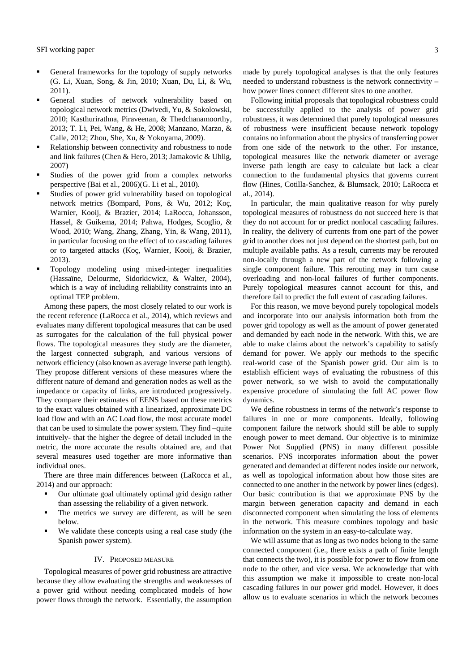- General frameworks for the topology of supply networks (G. Li, Xuan, Song, & Jin, 2010; Xuan, Du, Li, & Wu, 2011).
- General studies of network vulnerability based on topological network metrics (Dwivedi, Yu, & Sokolowski, 2010; Kasthurirathna, Piraveenan, & Thedchanamoorthy, 2013; T. Li, Pei, Wang, & He, 2008; Manzano, Marzo, & Calle, 2012; Zhou, She, Xu, & Yokoyama, 2009).
- Relationship between connectivity and robustness to node and link failures (Chen & Hero, 2013; Jamakovic & Uhlig, 2007)
- Studies of the power grid from a complex networks perspective (Bai et al., 2006)(G. Li et al., 2010).
- Studies of power grid vulnerability based on topological network metrics (Bompard, Pons, & Wu, 2012; Koç, Warnier, Kooij, & Brazier, 2014; LaRocca, Johansson, Hassel, & Guikema, 2014; Pahwa, Hodges, Scoglio, & Wood, 2010; Wang, Zhang, Zhang, Yin, & Wang, 2011), in particular focusing on the effect of to cascading failures or to targeted attacks (Koç, Warnier, Kooij, & Brazier, 2013).
- Topology modeling using mixed-integer inequalities (Hassaïne, Delourme, Sidorkicwicz, & Walter, 2004), which is a way of including reliability constraints into an optimal TEP problem.

Among these papers, the most closely related to our work is the recent reference (LaRocca et al., 2014), which reviews and evaluates many different topological measures that can be used as surrogates for the calculation of the full physical power flows. The topological measures they study are the diameter, the largest connected subgraph, and various versions of network efficiency (also known as average inverse path length). They propose different versions of these measures where the different nature of demand and generation nodes as well as the impedance or capacity of links, are introduced progressively. They compare their estimates of EENS based on these metrics to the exact values obtained with a linearized, approximate DC load flow and with an AC Load flow, the most accurate model that can be used to simulate the power system. They find –quite intuitively- that the higher the degree of detail included in the metric, the more accurate the results obtained are, and that several measures used together are more informative than individual ones.

There are three main differences between (LaRocca et al., 2014) and our approach:

- Our ultimate goal ultimately optimal grid design rather than assessing the reliability of a given network.
- The metrics we survey are different, as will be seen below.
- We validate these concepts using a real case study (the Spanish power system).

#### IV. PROPOSED MEASURE

Topological measures of power grid robustness are attractive because they allow evaluating the strengths and weaknesses of a power grid without needing complicated models of how power flows through the network. Essentially, the assumption made by purely topological analyses is that the only features needed to understand robustness is the network connectivity – how power lines connect different sites to one another.

Following initial proposals that topological robustness could be successfully applied to the analysis of power grid robustness, it was determined that purely topological measures of robustness were insufficient because network topology contains no information about the physics of transferring power from one side of the network to the other. For instance, topological measures like the network diameter or average inverse path length are easy to calculate but lack a clear connection to the fundamental physics that governs current flow (Hines, Cotilla-Sanchez, & Blumsack, 2010; LaRocca et al., 2014).

In particular, the main qualitative reason for why purely topological measures of robustness do not succeed here is that they do not account for or predict nonlocal cascading failures. In reality, the delivery of currents from one part of the power grid to another does not just depend on the shortest path, but on multiple available paths. As a result, currents may be rerouted non-locally through a new part of the network following a single component failure. This rerouting may in turn cause overloading and non-local failures of further components. Purely topological measures cannot account for this, and therefore fail to predict the full extent of cascading failures.

For this reason, we move beyond purely topological models and incorporate into our analysis information both from the power grid topology as well as the amount of power generated and demanded by each node in the network. With this, we are able to make claims about the network's capability to satisfy demand for power. We apply our methods to the specific real-world case of the Spanish power grid. Our aim is to establish efficient ways of evaluating the robustness of this power network, so we wish to avoid the computationally expensive procedure of simulating the full AC power flow dynamics.

We define robustness in terms of the network's response to failures in one or more components. Ideally, following component failure the network should still be able to supply enough power to meet demand. Our objective is to minimize Power Not Supplied (PNS) in many different possible scenarios. PNS incorporates information about the power generated and demanded at different nodes inside our network, as well as topological information about how those sites are connected to one another in the network by power lines (edges). Our basic contribution is that we approximate PNS by the margin between generation capacity and demand in each disconnected component when simulating the loss of elements in the network. This measure combines topology and basic information on the system in an easy-to-calculate way.

We will assume that as long as two nodes belong to the same connected component (i.e., there exists a path of finite length that connects the two), it is possible for power to flow from one node to the other, and vice versa. We acknowledge that with this assumption we make it impossible to create non-local cascading failures in our power grid model. However, it does allow us to evaluate scenarios in which the network becomes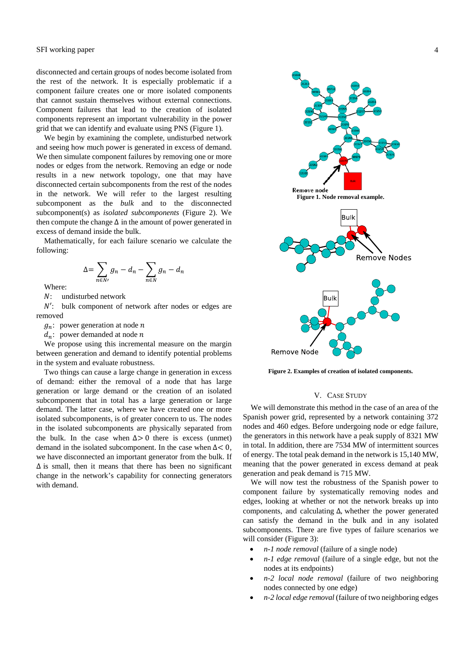#### SFI working paper 4

disconnected and certain groups of nodes become isolated from the rest of the network. It is especially problematic if a component failure creates one or more isolated components that cannot sustain themselves without external connections. Component failures that lead to the creation of isolated components represent an important vulnerability in the power grid that we can identify and evaluate using PNS (Figure 1).

We begin by examining the complete, undisturbed network and seeing how much power is generated in excess of demand. We then simulate component failures by removing one or more nodes or edges from the network. Removing an edge or node results in a new network topology, one that may have disconnected certain subcomponents from the rest of the nodes in the network. We will refer to the largest resulting subcomponent as the *bulk* and to the disconnected subcomponent(s) as *isolated subcomponents* (Figure 2). We then compute the change  $\Delta$  in the amount of power generated in excess of demand inside the bulk.

Mathematically, for each failure scenario we calculate the following:

$$
\Delta = \sum_{n \in N'} g_n - d_n - \sum_{n \in N} g_n - d_n
$$

Where:

N: undisturbed network

N': bulk component of network after nodes or edges are removed

 $g_n$ : power generation at node *n* 

 $d_n$ : power demanded at node *n* 

We propose using this incremental measure on the margin between generation and demand to identify potential problems in the system and evaluate robustness.

Two things can cause a large change in generation in excess of demand: either the removal of a node that has large generation or large demand or the creation of an isolated subcomponent that in total has a large generation or large demand. The latter case, where we have created one or more isolated subcomponents, is of greater concern to us. The nodes in the isolated subcomponents are physically separated from the bulk. In the case when  $\Delta > 0$  there is excess (unmet) demand in the isolated subcomponent. In the case when  $\Delta$ < 0, we have disconnected an important generator from the bulk. If  $\Delta$  is small, then it means that there has been no significant change in the network's capability for connecting generators with demand.



**Figure 2. Examples of creation of isolated components.** 

# V. CASE STUDY

We will demonstrate this method in the case of an area of the Spanish power grid, represented by a network containing 372 nodes and 460 edges. Before undergoing node or edge failure, the generators in this network have a peak supply of 8321 MW in total. In addition, there are 7534 MW of intermittent sources of energy. The total peak demand in the network is 15,140 MW, meaning that the power generated in excess demand at peak generation and peak demand is 715 MW.

We will now test the robustness of the Spanish power to component failure by systematically removing nodes and edges, looking at whether or not the network breaks up into components, and calculating ∆, whether the power generated can satisfy the demand in the bulk and in any isolated subcomponents. There are five types of failure scenarios we will consider (Figure 3):

- *n-1 node removal* (failure of a single node)
- *n-1 edge removal* (failure of a single edge, but not the nodes at its endpoints)
- *n-2 local node removal* (failure of two neighboring nodes connected by one edge)
- *n-2 local edge removal* (failure of two neighboring edges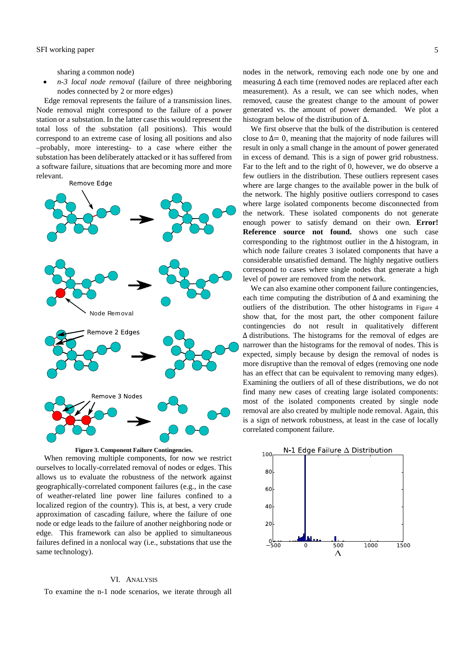sharing a common node)

 *n-3 local node removal* (failure of three neighboring nodes connected by 2 or more edges)

Edge removal represents the failure of a transmission lines. Node removal might correspond to the failure of a power station or a substation. In the latter case this would represent the total loss of the substation (all positions). This would correspond to an extreme case of losing all positions and also –probably, more interesting- to a case where either the substation has been deliberately attacked or it has suffered from a software failure, situations that are becoming more and more relevant.



## **Figure 3. Component Failure Contingencies.**

When removing multiple components, for now we restrict ourselves to locally-correlated removal of nodes or edges. This allows us to evaluate the robustness of the network against geographically-correlated component failures (e.g., in the case of weather-related line power line failures confined to a localized region of the country). This is, at best, a very crude approximation of cascading failure, where the failure of one node or edge leads to the failure of another neighboring node or edge. This framework can also be applied to simultaneous failures defined in a nonlocal way (i.e., substations that use the same technology).

#### VI. ANALYSIS

To examine the n-1 node scenarios, we iterate through all

nodes in the network, removing each node one by one and measuring ∆ each time (removed nodes are replaced after each measurement). As a result, we can see which nodes, when removed, cause the greatest change to the amount of power generated vs. the amount of power demanded. We plot a histogram below of the distribution of ∆.

We first observe that the bulk of the distribution is centered close to  $\Delta = 0$ , meaning that the majority of node failures will result in only a small change in the amount of power generated in excess of demand. This is a sign of power grid robustness. Far to the left and to the right of 0, however, we do observe a few outliers in the distribution. These outliers represent cases where are large changes to the available power in the bulk of the network. The highly positive outliers correspond to cases where large isolated components become disconnected from the network. These isolated components do not generate enough power to satisfy demand on their own. **Error! Reference source not found.** shows one such case corresponding to the rightmost outlier in the ∆ histogram, in which node failure creates 3 isolated components that have a considerable unsatisfied demand. The highly negative outliers correspond to cases where single nodes that generate a high level of power are removed from the network.

We can also examine other component failure contingencies, each time computing the distribution of ∆ and examining the outliers of the distribution. The other histograms in Figure 4 show that, for the most part, the other component failure contingencies do not result in qualitatively different ∆ distributions. The histograms for the removal of edges are narrower than the histograms for the removal of nodes. This is expected, simply because by design the removal of nodes is more disruptive than the removal of edges (removing one node has an effect that can be equivalent to removing many edges). Examining the outliers of all of these distributions, we do not find many new cases of creating large isolated components: most of the isolated components created by single node removal are also created by multiple node removal. Again, this is a sign of network robustness, at least in the case of locally correlated component failure.

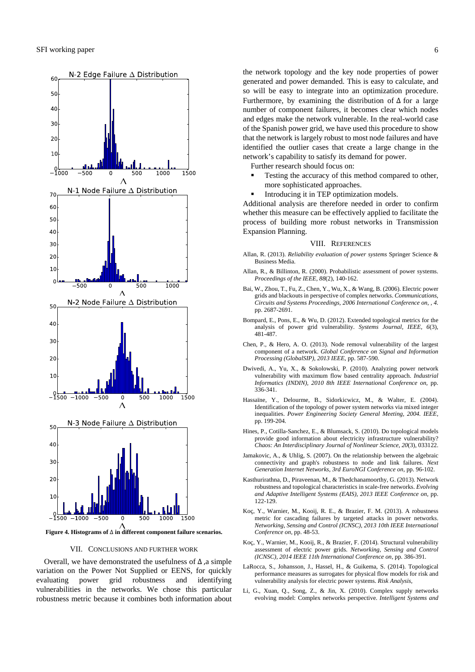

**Figure 4. Histograms of** ∆ **in different component failure scenarios.** 

#### VII. CONCLUSIONS AND FURTHER WORK

Overall, we have demonstrated the usefulness of  $\Delta$ , a simple variation on the Power Not Supplied or EENS, for quickly evaluating power grid robustness and identifying vulnerabilities in the networks. We chose this particular robustness metric because it combines both information about the network topology and the key node properties of power generated and power demanded. This is easy to calculate, and so will be easy to integrate into an optimization procedure. Furthermore, by examining the distribution of  $\Delta$  for a large number of component failures, it becomes clear which nodes and edges make the network vulnerable. In the real-world case of the Spanish power grid, we have used this procedure to show that the network is largely robust to most node failures and have identified the outlier cases that create a large change in the network's capability to satisfy its demand for power.

Further research should focus on:

- Testing the accuracy of this method compared to other, more sophisticated approaches.
- Introducing it in TEP optimization models.

Additional analysis are therefore needed in order to confirm whether this measure can be effectively applied to facilitate the process of building more robust networks in Transmission Expansion Planning.

#### VIII. REFERENCES

- Allan, R. (2013). *Reliability evaluation of power systems* Springer Science & Business Media.
- Allan, R., & Billinton, R. (2000). Probabilistic assessment of power systems. *Proceedings of the IEEE, 88*(2), 140-162.
- Bai, W., Zhou, T., Fu, Z., Chen, Y., Wu, X., & Wang, B. (2006). Electric power grids and blackouts in perspective of complex networks. *Communications, Circuits and Systems Proceedings, 2006 International Conference on, , 4.*  pp. 2687-2691.
- Bompard, E., Pons, E., & Wu, D. (2012). Extended topological metrics for the analysis of power grid vulnerability. *Systems Journal, IEEE, 6*(3), 481-487.
- Chen, P., & Hero, A. O. (2013). Node removal vulnerability of the largest component of a network. *Global Conference on Signal and Information Processing (GlobalSIP), 2013 IEEE,* pp. 587-590.
- Dwivedi, A., Yu, X., & Sokolowski, P. (2010). Analyzing power network vulnerability with maximum flow based centrality approach. *Industrial Informatics (INDIN), 2010 8th IEEE International Conference on,* pp. 336-341.
- Hassaïne, Y., Delourme, B., Sidorkicwicz, M., & Walter, E. (2004). Identification of the topology of power system networks via mixed integer inequalities. *Power Engineering Society General Meeting, 2004. IEEE,*  pp. 199-204.
- Hines, P., Cotilla-Sanchez, E., & Blumsack, S. (2010). Do topological models provide good information about electricity infrastructure vulnerability? *Chaos: An Interdisciplinary Journal of Nonlinear Science, 20*(3), 033122.
- Jamakovic, A., & Uhlig, S. (2007). On the relationship between the algebraic connectivity and graph's robustness to node and link failures. *Next Generation Internet Networks, 3rd EuroNGI Conference on,* pp. 96-102.
- Kasthurirathna, D., Piraveenan, M., & Thedchanamoorthy, G. (2013). Network robustness and topological characteristics in scale-free networks. *Evolving and Adaptive Intelligent Systems (EAIS), 2013 IEEE Conference on,* pp. 122-129.
- Koç, Y., Warnier, M., Kooij, R. E., & Brazier, F. M. (2013). A robustness metric for cascading failures by targeted attacks in power networks. *Networking, Sensing and Control (ICNSC), 2013 10th IEEE International Conference on,* pp. 48-53.
- Koç, Y., Warnier, M., Kooij, R., & Brazier, F. (2014). Structural vulnerability assessment of electric power grids. *Networking, Sensing and Control (ICNSC), 2014 IEEE 11th International Conference on,* pp. 386-391.
- LaRocca, S., Johansson, J., Hassel, H., & Guikema, S. (2014). Topological performance measures as surrogates for physical flow models for risk and vulnerability analysis for electric power systems. *Risk Analysis,*
- Li, G., Xuan, Q., Song, Z., & Jin, X. (2010). Complex supply networks evolving model: Complex networks perspective. *Intelligent Systems and*